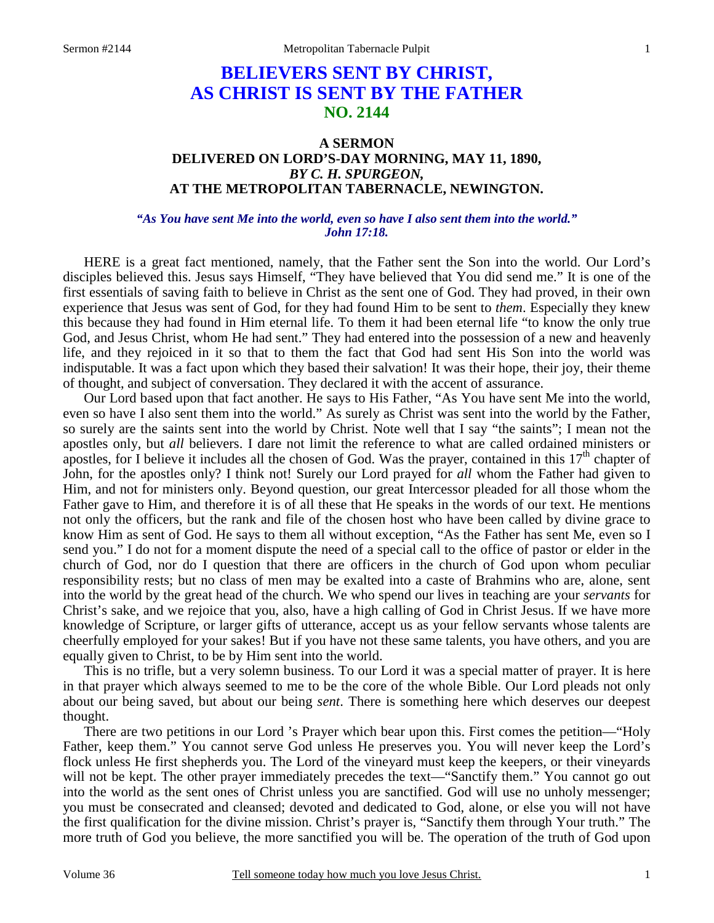# **BELIEVERS SENT BY CHRIST, AS CHRIST IS SENT BY THE FATHER NO. 2144**

# **A SERMON DELIVERED ON LORD'S-DAY MORNING, MAY 11, 1890,**  *BY C. H. SPURGEON,*  **AT THE METROPOLITAN TABERNACLE, NEWINGTON.**

### *"As You have sent Me into the world, even so have I also sent them into the world." John 17:18.*

HERE is a great fact mentioned, namely, that the Father sent the Son into the world. Our Lord's disciples believed this. Jesus says Himself, "They have believed that You did send me." It is one of the first essentials of saving faith to believe in Christ as the sent one of God. They had proved, in their own experience that Jesus was sent of God, for they had found Him to be sent to *them*. Especially they knew this because they had found in Him eternal life. To them it had been eternal life "to know the only true God, and Jesus Christ, whom He had sent." They had entered into the possession of a new and heavenly life, and they rejoiced in it so that to them the fact that God had sent His Son into the world was indisputable. It was a fact upon which they based their salvation! It was their hope, their joy, their theme of thought, and subject of conversation. They declared it with the accent of assurance.

 Our Lord based upon that fact another. He says to His Father, "As You have sent Me into the world, even so have I also sent them into the world." As surely as Christ was sent into the world by the Father, so surely are the saints sent into the world by Christ. Note well that I say "the saints"; I mean not the apostles only, but *all* believers. I dare not limit the reference to what are called ordained ministers or apostles, for I believe it includes all the chosen of God. Was the prayer, contained in this  $17<sup>th</sup>$  chapter of John, for the apostles only? I think not! Surely our Lord prayed for *all* whom the Father had given to Him, and not for ministers only. Beyond question, our great Intercessor pleaded for all those whom the Father gave to Him, and therefore it is of all these that He speaks in the words of our text. He mentions not only the officers, but the rank and file of the chosen host who have been called by divine grace to know Him as sent of God. He says to them all without exception, "As the Father has sent Me, even so I send you." I do not for a moment dispute the need of a special call to the office of pastor or elder in the church of God, nor do I question that there are officers in the church of God upon whom peculiar responsibility rests; but no class of men may be exalted into a caste of Brahmins who are, alone, sent into the world by the great head of the church. We who spend our lives in teaching are your *servants* for Christ's sake, and we rejoice that you, also, have a high calling of God in Christ Jesus. If we have more knowledge of Scripture, or larger gifts of utterance, accept us as your fellow servants whose talents are cheerfully employed for your sakes! But if you have not these same talents, you have others, and you are equally given to Christ, to be by Him sent into the world.

 This is no trifle, but a very solemn business. To our Lord it was a special matter of prayer. It is here in that prayer which always seemed to me to be the core of the whole Bible. Our Lord pleads not only about our being saved, but about our being *sent*. There is something here which deserves our deepest thought.

 There are two petitions in our Lord 's Prayer which bear upon this. First comes the petition—"Holy Father, keep them." You cannot serve God unless He preserves you. You will never keep the Lord's flock unless He first shepherds you. The Lord of the vineyard must keep the keepers, or their vineyards will not be kept. The other prayer immediately precedes the text—"Sanctify them." You cannot go out into the world as the sent ones of Christ unless you are sanctified. God will use no unholy messenger; you must be consecrated and cleansed; devoted and dedicated to God, alone, or else you will not have the first qualification for the divine mission. Christ's prayer is, "Sanctify them through Your truth." The more truth of God you believe, the more sanctified you will be. The operation of the truth of God upon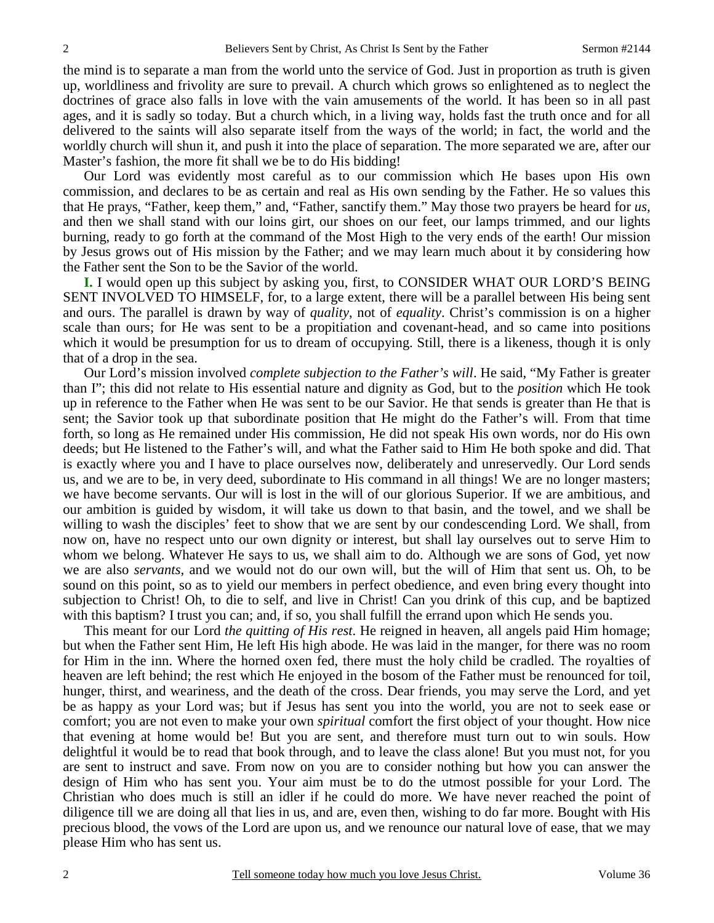the mind is to separate a man from the world unto the service of God. Just in proportion as truth is given up, worldliness and frivolity are sure to prevail. A church which grows so enlightened as to neglect the doctrines of grace also falls in love with the vain amusements of the world. It has been so in all past ages, and it is sadly so today. But a church which, in a living way, holds fast the truth once and for all delivered to the saints will also separate itself from the ways of the world; in fact, the world and the worldly church will shun it, and push it into the place of separation. The more separated we are, after our Master's fashion, the more fit shall we be to do His bidding!

 Our Lord was evidently most careful as to our commission which He bases upon His own commission, and declares to be as certain and real as His own sending by the Father. He so values this that He prays, "Father, keep them," and, "Father, sanctify them." May those two prayers be heard for *us,* and then we shall stand with our loins girt, our shoes on our feet, our lamps trimmed, and our lights burning, ready to go forth at the command of the Most High to the very ends of the earth! Our mission by Jesus grows out of His mission by the Father; and we may learn much about it by considering how the Father sent the Son to be the Savior of the world.

**I.** I would open up this subject by asking you, first, to CONSIDER WHAT OUR LORD'S BEING SENT INVOLVED TO HIMSELF, for, to a large extent, there will be a parallel between His being sent and ours. The parallel is drawn by way of *quality*, not of *equality*. Christ's commission is on a higher scale than ours; for He was sent to be a propitiation and covenant-head, and so came into positions which it would be presumption for us to dream of occupying. Still, there is a likeness, though it is only that of a drop in the sea.

 Our Lord's mission involved *complete subjection to the Father's will*. He said, "My Father is greater than I"; this did not relate to His essential nature and dignity as God, but to the *position* which He took up in reference to the Father when He was sent to be our Savior. He that sends is greater than He that is sent; the Savior took up that subordinate position that He might do the Father's will. From that time forth, so long as He remained under His commission, He did not speak His own words, nor do His own deeds; but He listened to the Father's will, and what the Father said to Him He both spoke and did. That is exactly where you and I have to place ourselves now, deliberately and unreservedly. Our Lord sends us, and we are to be, in very deed, subordinate to His command in all things! We are no longer masters; we have become servants. Our will is lost in the will of our glorious Superior. If we are ambitious, and our ambition is guided by wisdom, it will take us down to that basin, and the towel, and we shall be willing to wash the disciples' feet to show that we are sent by our condescending Lord. We shall, from now on, have no respect unto our own dignity or interest, but shall lay ourselves out to serve Him to whom we belong. Whatever He says to us, we shall aim to do. Although we are sons of God, yet now we are also *servants,* and we would not do our own will, but the will of Him that sent us. Oh, to be sound on this point, so as to yield our members in perfect obedience, and even bring every thought into subjection to Christ! Oh, to die to self, and live in Christ! Can you drink of this cup, and be baptized with this baptism? I trust you can; and, if so, you shall fulfill the errand upon which He sends you.

 This meant for our Lord *the quitting of His rest*. He reigned in heaven, all angels paid Him homage; but when the Father sent Him, He left His high abode. He was laid in the manger, for there was no room for Him in the inn. Where the horned oxen fed, there must the holy child be cradled. The royalties of heaven are left behind; the rest which He enjoyed in the bosom of the Father must be renounced for toil, hunger, thirst, and weariness, and the death of the cross. Dear friends, you may serve the Lord, and yet be as happy as your Lord was; but if Jesus has sent you into the world, you are not to seek ease or comfort; you are not even to make your own *spiritual* comfort the first object of your thought. How nice that evening at home would be! But you are sent, and therefore must turn out to win souls. How delightful it would be to read that book through, and to leave the class alone! But you must not, for you are sent to instruct and save. From now on you are to consider nothing but how you can answer the design of Him who has sent you. Your aim must be to do the utmost possible for your Lord. The Christian who does much is still an idler if he could do more. We have never reached the point of diligence till we are doing all that lies in us, and are, even then, wishing to do far more. Bought with His precious blood, the vows of the Lord are upon us, and we renounce our natural love of ease, that we may please Him who has sent us.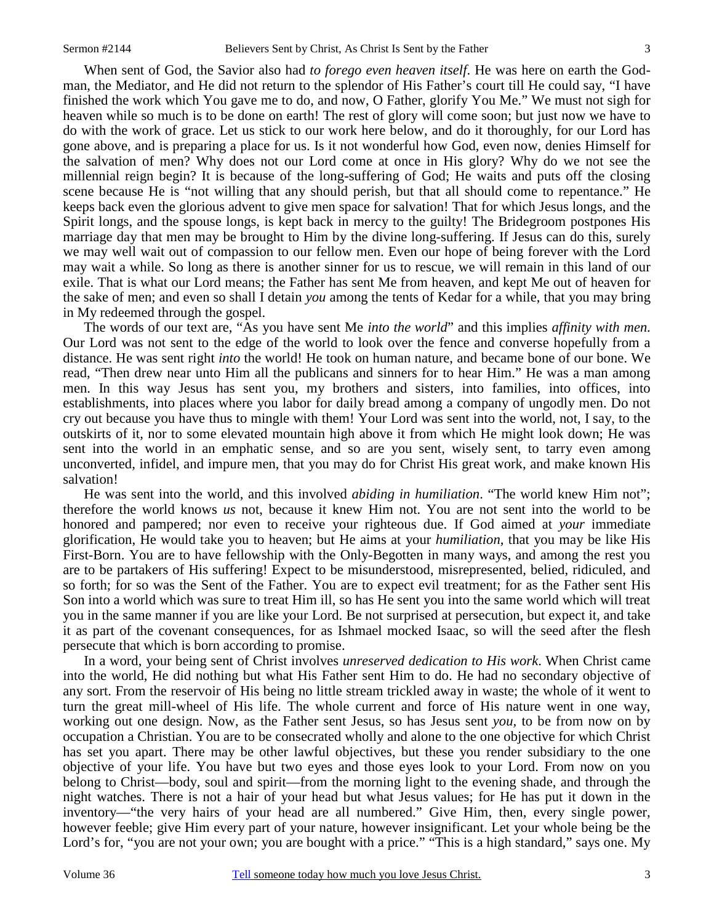When sent of God, the Savior also had *to forego even heaven itself*. He was here on earth the Godman, the Mediator, and He did not return to the splendor of His Father's court till He could say, "I have finished the work which You gave me to do, and now, O Father, glorify You Me." We must not sigh for heaven while so much is to be done on earth! The rest of glory will come soon; but just now we have to do with the work of grace. Let us stick to our work here below, and do it thoroughly, for our Lord has gone above, and is preparing a place for us. Is it not wonderful how God, even now, denies Himself for the salvation of men? Why does not our Lord come at once in His glory? Why do we not see the millennial reign begin? It is because of the long-suffering of God; He waits and puts off the closing scene because He is "not willing that any should perish, but that all should come to repentance." He keeps back even the glorious advent to give men space for salvation! That for which Jesus longs, and the Spirit longs, and the spouse longs, is kept back in mercy to the guilty! The Bridegroom postpones His marriage day that men may be brought to Him by the divine long-suffering. If Jesus can do this, surely we may well wait out of compassion to our fellow men. Even our hope of being forever with the Lord may wait a while. So long as there is another sinner for us to rescue, we will remain in this land of our exile. That is what our Lord means; the Father has sent Me from heaven, and kept Me out of heaven for the sake of men; and even so shall I detain *you* among the tents of Kedar for a while, that you may bring in My redeemed through the gospel.

 The words of our text are, "As you have sent Me *into the world*" and this implies *affinity with men*. Our Lord was not sent to the edge of the world to look over the fence and converse hopefully from a distance. He was sent right *into* the world! He took on human nature, and became bone of our bone. We read, "Then drew near unto Him all the publicans and sinners for to hear Him." He was a man among men. In this way Jesus has sent you, my brothers and sisters, into families, into offices, into establishments, into places where you labor for daily bread among a company of ungodly men. Do not cry out because you have thus to mingle with them! Your Lord was sent into the world, not, I say, to the outskirts of it, nor to some elevated mountain high above it from which He might look down; He was sent into the world in an emphatic sense, and so are you sent, wisely sent, to tarry even among unconverted, infidel, and impure men, that you may do for Christ His great work, and make known His salvation!

 He was sent into the world, and this involved *abiding in humiliation*. "The world knew Him not"; therefore the world knows *us* not, because it knew Him not. You are not sent into the world to be honored and pampered; nor even to receive your righteous due. If God aimed at *your* immediate glorification, He would take you to heaven; but He aims at your *humiliation,* that you may be like His First-Born. You are to have fellowship with the Only-Begotten in many ways, and among the rest you are to be partakers of His suffering! Expect to be misunderstood, misrepresented, belied, ridiculed, and so forth; for so was the Sent of the Father. You are to expect evil treatment; for as the Father sent His Son into a world which was sure to treat Him ill, so has He sent you into the same world which will treat you in the same manner if you are like your Lord. Be not surprised at persecution, but expect it, and take it as part of the covenant consequences, for as Ishmael mocked Isaac, so will the seed after the flesh persecute that which is born according to promise.

 In a word, your being sent of Christ involves *unreserved dedication to His work*. When Christ came into the world, He did nothing but what His Father sent Him to do. He had no secondary objective of any sort. From the reservoir of His being no little stream trickled away in waste; the whole of it went to turn the great mill-wheel of His life. The whole current and force of His nature went in one way, working out one design. Now, as the Father sent Jesus, so has Jesus sent *you,* to be from now on by occupation a Christian. You are to be consecrated wholly and alone to the one objective for which Christ has set you apart. There may be other lawful objectives, but these you render subsidiary to the one objective of your life. You have but two eyes and those eyes look to your Lord. From now on you belong to Christ—body, soul and spirit—from the morning light to the evening shade, and through the night watches. There is not a hair of your head but what Jesus values; for He has put it down in the inventory—"the very hairs of your head are all numbered." Give Him, then, every single power, however feeble; give Him every part of your nature, however insignificant. Let your whole being be the Lord's for, "you are not your own; you are bought with a price." "This is a high standard," says one. My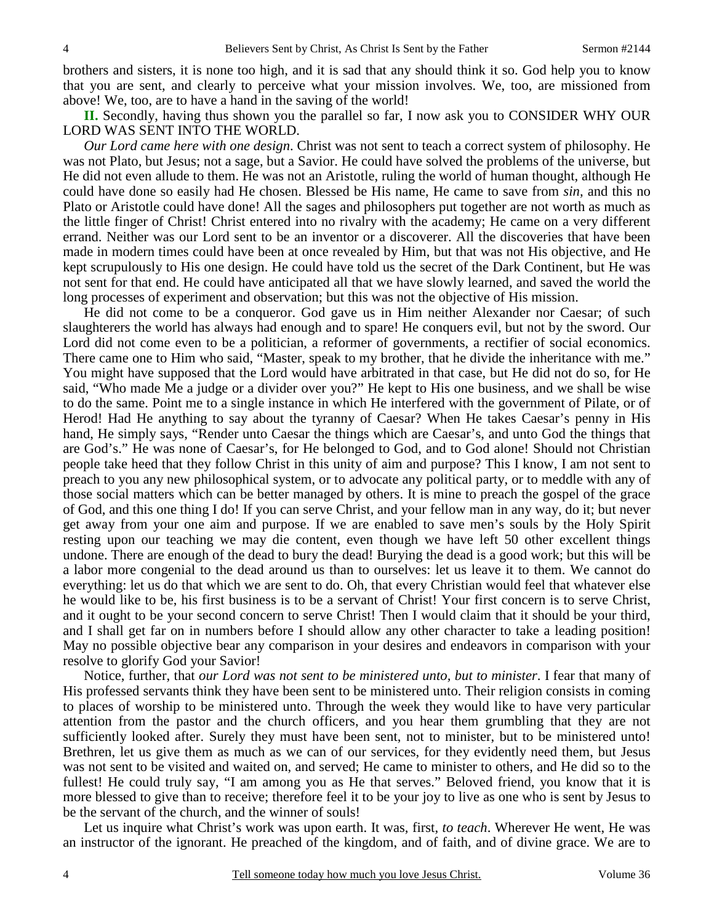brothers and sisters, it is none too high, and it is sad that any should think it so. God help you to know that you are sent, and clearly to perceive what your mission involves. We, too, are missioned from above! We, too, are to have a hand in the saving of the world!

**II.** Secondly, having thus shown you the parallel so far, I now ask you to CONSIDER WHY OUR LORD WAS SENT INTO THE WORLD.

*Our Lord came here with one design*. Christ was not sent to teach a correct system of philosophy. He was not Plato, but Jesus; not a sage, but a Savior. He could have solved the problems of the universe, but He did not even allude to them. He was not an Aristotle, ruling the world of human thought, although He could have done so easily had He chosen. Blessed be His name, He came to save from *sin,* and this no Plato or Aristotle could have done! All the sages and philosophers put together are not worth as much as the little finger of Christ! Christ entered into no rivalry with the academy; He came on a very different errand. Neither was our Lord sent to be an inventor or a discoverer. All the discoveries that have been made in modern times could have been at once revealed by Him, but that was not His objective, and He kept scrupulously to His one design. He could have told us the secret of the Dark Continent, but He was not sent for that end. He could have anticipated all that we have slowly learned, and saved the world the long processes of experiment and observation; but this was not the objective of His mission.

 He did not come to be a conqueror. God gave us in Him neither Alexander nor Caesar; of such slaughterers the world has always had enough and to spare! He conquers evil, but not by the sword. Our Lord did not come even to be a politician, a reformer of governments, a rectifier of social economics. There came one to Him who said, "Master, speak to my brother, that he divide the inheritance with me." You might have supposed that the Lord would have arbitrated in that case, but He did not do so, for He said, "Who made Me a judge or a divider over you?" He kept to His one business, and we shall be wise to do the same. Point me to a single instance in which He interfered with the government of Pilate, or of Herod! Had He anything to say about the tyranny of Caesar? When He takes Caesar's penny in His hand, He simply says, "Render unto Caesar the things which are Caesar's, and unto God the things that are God's." He was none of Caesar's, for He belonged to God, and to God alone! Should not Christian people take heed that they follow Christ in this unity of aim and purpose? This I know, I am not sent to preach to you any new philosophical system, or to advocate any political party, or to meddle with any of those social matters which can be better managed by others. It is mine to preach the gospel of the grace of God, and this one thing I do! If you can serve Christ, and your fellow man in any way, do it; but never get away from your one aim and purpose. If we are enabled to save men's souls by the Holy Spirit resting upon our teaching we may die content, even though we have left 50 other excellent things undone. There are enough of the dead to bury the dead! Burying the dead is a good work; but this will be a labor more congenial to the dead around us than to ourselves: let us leave it to them. We cannot do everything: let us do that which we are sent to do. Oh, that every Christian would feel that whatever else he would like to be, his first business is to be a servant of Christ! Your first concern is to serve Christ, and it ought to be your second concern to serve Christ! Then I would claim that it should be your third, and I shall get far on in numbers before I should allow any other character to take a leading position! May no possible objective bear any comparison in your desires and endeavors in comparison with your resolve to glorify God your Savior!

 Notice, further, that *our Lord was not sent to be ministered unto, but to minister*. I fear that many of His professed servants think they have been sent to be ministered unto. Their religion consists in coming to places of worship to be ministered unto. Through the week they would like to have very particular attention from the pastor and the church officers, and you hear them grumbling that they are not sufficiently looked after. Surely they must have been sent, not to minister, but to be ministered unto! Brethren, let us give them as much as we can of our services, for they evidently need them, but Jesus was not sent to be visited and waited on, and served; He came to minister to others, and He did so to the fullest! He could truly say, "I am among you as He that serves." Beloved friend, you know that it is more blessed to give than to receive; therefore feel it to be your joy to live as one who is sent by Jesus to be the servant of the church, and the winner of souls!

 Let us inquire what Christ's work was upon earth. It was, first, *to teach*. Wherever He went, He was an instructor of the ignorant. He preached of the kingdom, and of faith, and of divine grace. We are to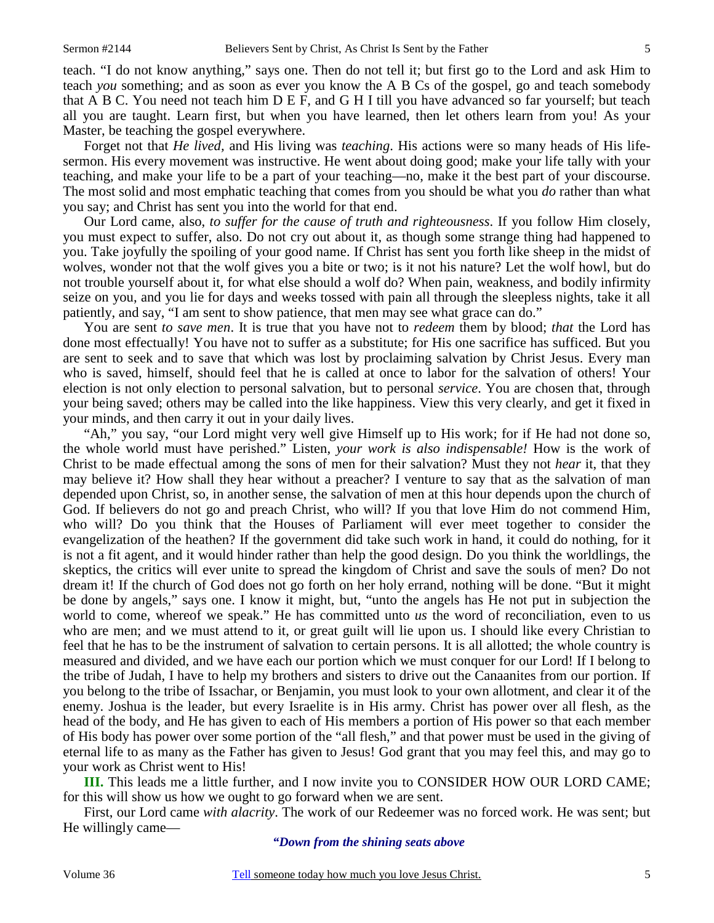teach. "I do not know anything," says one. Then do not tell it; but first go to the Lord and ask Him to teach *you* something; and as soon as ever you know the A B Cs of the gospel, go and teach somebody that A B C. You need not teach him D E F, and G H I till you have advanced so far yourself; but teach

all you are taught. Learn first, but when you have learned, then let others learn from you! As your Master, be teaching the gospel everywhere. Forget not that *He lived,* and His living was *teaching*. His actions were so many heads of His life-

sermon. His every movement was instructive. He went about doing good; make your life tally with your teaching, and make your life to be a part of your teaching—no, make it the best part of your discourse. The most solid and most emphatic teaching that comes from you should be what you *do* rather than what you say; and Christ has sent you into the world for that end.

 Our Lord came, also, *to suffer for the cause of truth and righteousness*. If you follow Him closely, you must expect to suffer, also. Do not cry out about it, as though some strange thing had happened to you. Take joyfully the spoiling of your good name. If Christ has sent you forth like sheep in the midst of wolves, wonder not that the wolf gives you a bite or two; is it not his nature? Let the wolf howl, but do not trouble yourself about it, for what else should a wolf do? When pain, weakness, and bodily infirmity seize on you, and you lie for days and weeks tossed with pain all through the sleepless nights, take it all patiently, and say, "I am sent to show patience, that men may see what grace can do."

 You are sent *to save men*. It is true that you have not to *redeem* them by blood; *that* the Lord has done most effectually! You have not to suffer as a substitute; for His one sacrifice has sufficed. But you are sent to seek and to save that which was lost by proclaiming salvation by Christ Jesus. Every man who is saved, himself, should feel that he is called at once to labor for the salvation of others! Your election is not only election to personal salvation, but to personal *service*. You are chosen that, through your being saved; others may be called into the like happiness. View this very clearly, and get it fixed in your minds, and then carry it out in your daily lives.

 "Ah," you say, "our Lord might very well give Himself up to His work; for if He had not done so, the whole world must have perished." Listen, *your work is also indispensable!* How is the work of Christ to be made effectual among the sons of men for their salvation? Must they not *hear* it, that they may believe it? How shall they hear without a preacher? I venture to say that as the salvation of man depended upon Christ, so, in another sense, the salvation of men at this hour depends upon the church of God. If believers do not go and preach Christ, who will? If you that love Him do not commend Him, who will? Do you think that the Houses of Parliament will ever meet together to consider the evangelization of the heathen? If the government did take such work in hand, it could do nothing, for it is not a fit agent, and it would hinder rather than help the good design. Do you think the worldlings, the skeptics, the critics will ever unite to spread the kingdom of Christ and save the souls of men? Do not dream it! If the church of God does not go forth on her holy errand, nothing will be done. "But it might be done by angels," says one. I know it might, but, "unto the angels has He not put in subjection the world to come, whereof we speak." He has committed unto *us* the word of reconciliation, even to us who are men; and we must attend to it, or great guilt will lie upon us. I should like every Christian to feel that he has to be the instrument of salvation to certain persons. It is all allotted; the whole country is measured and divided, and we have each our portion which we must conquer for our Lord! If I belong to the tribe of Judah, I have to help my brothers and sisters to drive out the Canaanites from our portion. If you belong to the tribe of Issachar, or Benjamin, you must look to your own allotment, and clear it of the enemy. Joshua is the leader, but every Israelite is in His army. Christ has power over all flesh, as the head of the body, and He has given to each of His members a portion of His power so that each member of His body has power over some portion of the "all flesh," and that power must be used in the giving of eternal life to as many as the Father has given to Jesus! God grant that you may feel this, and may go to your work as Christ went to His!

**III.** This leads me a little further, and I now invite you to CONSIDER HOW OUR LORD CAME; for this will show us how we ought to go forward when we are sent.

 First, our Lord came *with alacrity*. The work of our Redeemer was no forced work. He was sent; but He willingly came—

#### *"Down from the shining seats above*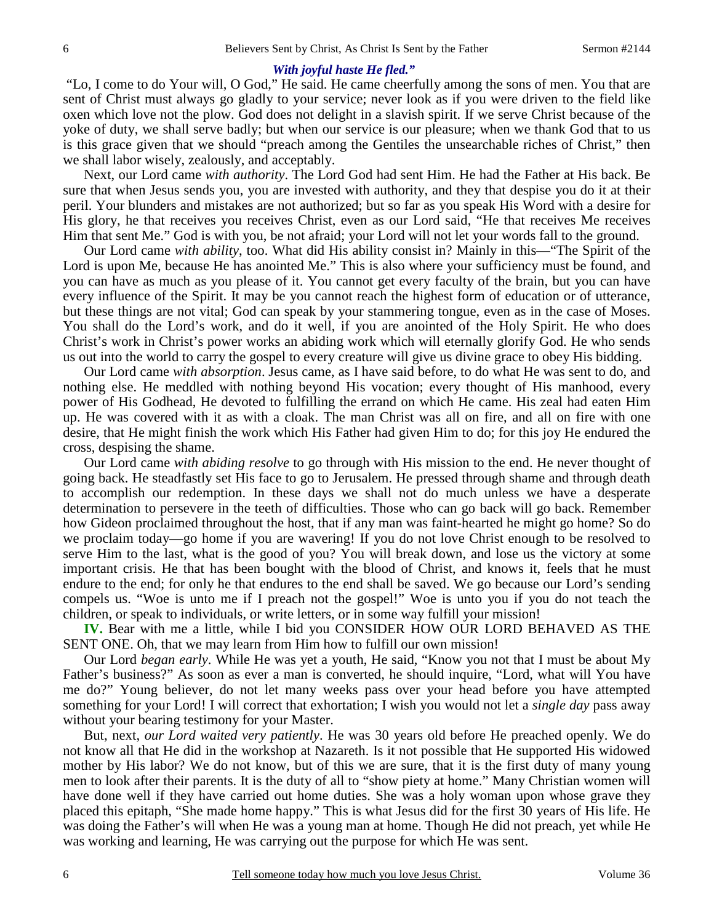## *With joyful haste He fled."*

"Lo, I come to do Your will, O God," He said. He came cheerfully among the sons of men. You that are sent of Christ must always go gladly to your service; never look as if you were driven to the field like oxen which love not the plow. God does not delight in a slavish spirit. If we serve Christ because of the yoke of duty, we shall serve badly; but when our service is our pleasure; when we thank God that to us is this grace given that we should "preach among the Gentiles the unsearchable riches of Christ," then we shall labor wisely, zealously, and acceptably.

 Next, our Lord came *with authority*. The Lord God had sent Him. He had the Father at His back. Be sure that when Jesus sends you, you are invested with authority, and they that despise you do it at their peril. Your blunders and mistakes are not authorized; but so far as you speak His Word with a desire for His glory, he that receives you receives Christ, even as our Lord said, "He that receives Me receives Him that sent Me." God is with you, be not afraid; your Lord will not let your words fall to the ground.

 Our Lord came *with ability*, too. What did His ability consist in? Mainly in this—"The Spirit of the Lord is upon Me, because He has anointed Me." This is also where your sufficiency must be found, and you can have as much as you please of it. You cannot get every faculty of the brain, but you can have every influence of the Spirit. It may be you cannot reach the highest form of education or of utterance, but these things are not vital; God can speak by your stammering tongue, even as in the case of Moses. You shall do the Lord's work, and do it well, if you are anointed of the Holy Spirit. He who does Christ's work in Christ's power works an abiding work which will eternally glorify God. He who sends us out into the world to carry the gospel to every creature will give us divine grace to obey His bidding.

 Our Lord came *with absorption*. Jesus came, as I have said before, to do what He was sent to do, and nothing else. He meddled with nothing beyond His vocation; every thought of His manhood, every power of His Godhead, He devoted to fulfilling the errand on which He came. His zeal had eaten Him up. He was covered with it as with a cloak. The man Christ was all on fire, and all on fire with one desire, that He might finish the work which His Father had given Him to do; for this joy He endured the cross, despising the shame.

 Our Lord came *with abiding resolve* to go through with His mission to the end. He never thought of going back. He steadfastly set His face to go to Jerusalem. He pressed through shame and through death to accomplish our redemption. In these days we shall not do much unless we have a desperate determination to persevere in the teeth of difficulties. Those who can go back will go back. Remember how Gideon proclaimed throughout the host, that if any man was faint-hearted he might go home? So do we proclaim today—go home if you are wavering! If you do not love Christ enough to be resolved to serve Him to the last, what is the good of you? You will break down, and lose us the victory at some important crisis. He that has been bought with the blood of Christ, and knows it, feels that he must endure to the end; for only he that endures to the end shall be saved. We go because our Lord's sending compels us. "Woe is unto me if I preach not the gospel!" Woe is unto you if you do not teach the children, or speak to individuals, or write letters, or in some way fulfill your mission!

**IV.** Bear with me a little, while I bid you CONSIDER HOW OUR LORD BEHAVED AS THE SENT ONE. Oh, that we may learn from Him how to fulfill our own mission!

 Our Lord *began early*. While He was yet a youth, He said, "Know you not that I must be about My Father's business?" As soon as ever a man is converted, he should inquire, "Lord, what will You have me do?" Young believer, do not let many weeks pass over your head before you have attempted something for your Lord! I will correct that exhortation; I wish you would not let a *single day* pass away without your bearing testimony for your Master.

 But, next, *our Lord waited very patiently*. He was 30 years old before He preached openly. We do not know all that He did in the workshop at Nazareth. Is it not possible that He supported His widowed mother by His labor? We do not know, but of this we are sure, that it is the first duty of many young men to look after their parents. It is the duty of all to "show piety at home." Many Christian women will have done well if they have carried out home duties. She was a holy woman upon whose grave they placed this epitaph, "She made home happy." This is what Jesus did for the first 30 years of His life. He was doing the Father's will when He was a young man at home. Though He did not preach, yet while He was working and learning, He was carrying out the purpose for which He was sent.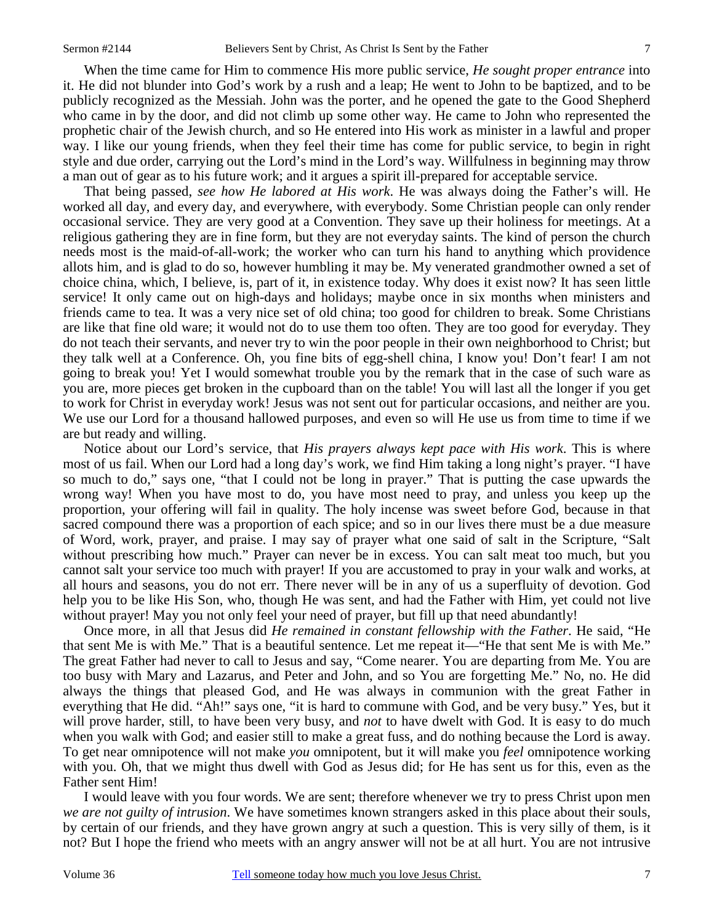When the time came for Him to commence His more public service, *He sought proper entrance* into it. He did not blunder into God's work by a rush and a leap; He went to John to be baptized, and to be publicly recognized as the Messiah. John was the porter, and he opened the gate to the Good Shepherd who came in by the door, and did not climb up some other way. He came to John who represented the prophetic chair of the Jewish church, and so He entered into His work as minister in a lawful and proper way. I like our young friends, when they feel their time has come for public service, to begin in right style and due order, carrying out the Lord's mind in the Lord's way. Willfulness in beginning may throw a man out of gear as to his future work; and it argues a spirit ill-prepared for acceptable service.

 That being passed, *see how He labored at His work*. He was always doing the Father's will. He worked all day, and every day, and everywhere, with everybody. Some Christian people can only render occasional service. They are very good at a Convention. They save up their holiness for meetings. At a religious gathering they are in fine form, but they are not everyday saints. The kind of person the church needs most is the maid-of-all-work; the worker who can turn his hand to anything which providence allots him, and is glad to do so, however humbling it may be. My venerated grandmother owned a set of choice china, which, I believe, is, part of it, in existence today. Why does it exist now? It has seen little service! It only came out on high-days and holidays; maybe once in six months when ministers and friends came to tea. It was a very nice set of old china; too good for children to break. Some Christians are like that fine old ware; it would not do to use them too often. They are too good for everyday. They do not teach their servants, and never try to win the poor people in their own neighborhood to Christ; but they talk well at a Conference. Oh, you fine bits of egg-shell china, I know you! Don't fear! I am not going to break you! Yet I would somewhat trouble you by the remark that in the case of such ware as you are, more pieces get broken in the cupboard than on the table! You will last all the longer if you get to work for Christ in everyday work! Jesus was not sent out for particular occasions, and neither are you. We use our Lord for a thousand hallowed purposes, and even so will He use us from time to time if we are but ready and willing.

 Notice about our Lord's service, that *His prayers always kept pace with His work*. This is where most of us fail. When our Lord had a long day's work, we find Him taking a long night's prayer. "I have so much to do," says one, "that I could not be long in prayer." That is putting the case upwards the wrong way! When you have most to do, you have most need to pray, and unless you keep up the proportion, your offering will fail in quality. The holy incense was sweet before God, because in that sacred compound there was a proportion of each spice; and so in our lives there must be a due measure of Word, work, prayer, and praise. I may say of prayer what one said of salt in the Scripture, "Salt without prescribing how much." Prayer can never be in excess. You can salt meat too much, but you cannot salt your service too much with prayer! If you are accustomed to pray in your walk and works, at all hours and seasons, you do not err. There never will be in any of us a superfluity of devotion. God help you to be like His Son, who, though He was sent, and had the Father with Him, yet could not live without prayer! May you not only feel your need of prayer, but fill up that need abundantly!

 Once more, in all that Jesus did *He remained in constant fellowship with the Father*. He said, "He that sent Me is with Me." That is a beautiful sentence. Let me repeat it—"He that sent Me is with Me." The great Father had never to call to Jesus and say, "Come nearer. You are departing from Me. You are too busy with Mary and Lazarus, and Peter and John, and so You are forgetting Me." No, no. He did always the things that pleased God, and He was always in communion with the great Father in everything that He did. "Ah!" says one, "it is hard to commune with God, and be very busy." Yes, but it will prove harder, still, to have been very busy, and *not* to have dwelt with God. It is easy to do much when you walk with God; and easier still to make a great fuss, and do nothing because the Lord is away. To get near omnipotence will not make *you* omnipotent, but it will make you *feel* omnipotence working with you. Oh, that we might thus dwell with God as Jesus did; for He has sent us for this, even as the Father sent Him!

 I would leave with you four words. We are sent; therefore whenever we try to press Christ upon men *we are not guilty of intrusion*. We have sometimes known strangers asked in this place about their souls, by certain of our friends, and they have grown angry at such a question. This is very silly of them, is it not? But I hope the friend who meets with an angry answer will not be at all hurt. You are not intrusive